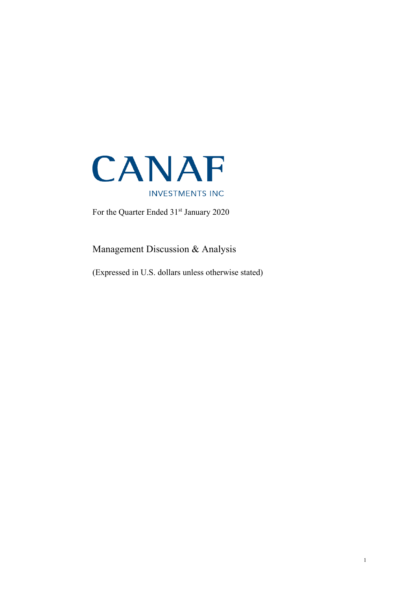

For the Quarter Ended 31<sup>st</sup> January 2020

Management Discussion & Analysis

(Expressed in U.S. dollars unless otherwise stated)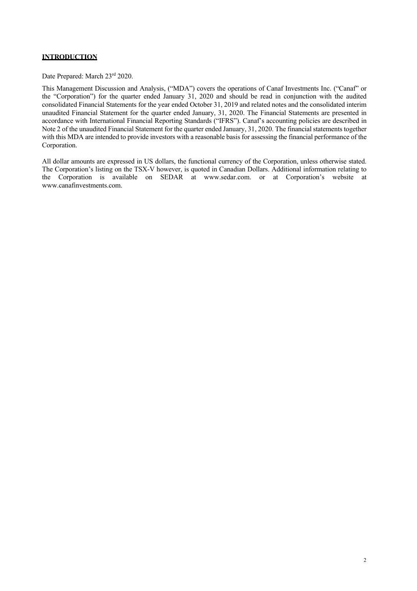# **INTRODUCTION**

Date Prepared: March 23<sup>rd</sup> 2020.

This Management Discussion and Analysis, ("MDA") covers the operations of Canaf Investments Inc. ("Canaf" or the "Corporation") for the quarter ended January 31, 2020 and should be read in conjunction with the audited consolidated Financial Statements for the year ended October 31, 2019 and related notes and the consolidated interim unaudited Financial Statement for the quarter ended January, 31, 2020. The Financial Statements are presented in accordance with International Financial Reporting Standards ("IFRS"). Canaf's accounting policies are described in Note 2 of the unaudited Financial Statement for the quarter ended January, 31, 2020. The financial statements together with this MDA are intended to provide investors with a reasonable basis for assessing the financial performance of the Corporation.

All dollar amounts are expressed in US dollars, the functional currency of the Corporation, unless otherwise stated. The Corporation's listing on the TSX-V however, is quoted in Canadian Dollars. Additional information relating to the Corporation is available on SEDAR at www.sedar.com. or at Corporation's website at www.canafinvestments.com.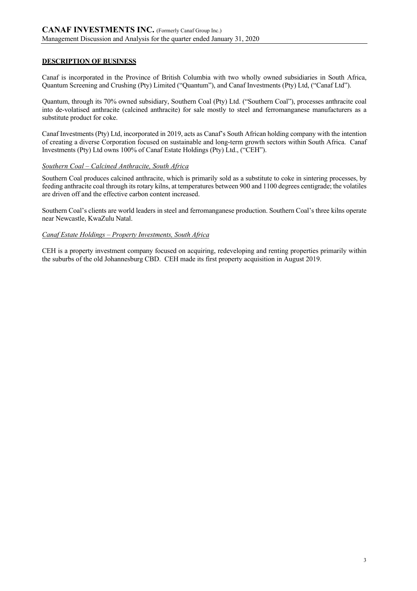## **DESCRIPTION OF BUSINESS**

Canaf is incorporated in the Province of British Columbia with two wholly owned subsidiaries in South Africa, Quantum Screening and Crushing (Pty) Limited ("Quantum"), and Canaf Investments (Pty) Ltd, ("Canaf Ltd").

Quantum, through its 70% owned subsidiary, Southern Coal (Pty) Ltd. ("Southern Coal"), processes anthracite coal into de-volatised anthracite (calcined anthracite) for sale mostly to steel and ferromanganese manufacturers as a substitute product for coke.

Canaf Investments (Pty) Ltd, incorporated in 2019, acts as Canaf's South African holding company with the intention of creating a diverse Corporation focused on sustainable and long-term growth sectors within South Africa. Canaf Investments (Pty) Ltd owns 100% of Canaf Estate Holdings (Pty) Ltd., ("CEH").

### *Southern Coal – Calcined Anthracite, South Africa*

Southern Coal produces calcined anthracite, which is primarily sold as a substitute to coke in sintering processes, by feeding anthracite coal through its rotary kilns, at temperatures between 900 and 1100 degrees centigrade; the volatiles are driven off and the effective carbon content increased.

Southern Coal's clients are world leaders in steel and ferromanganese production. Southern Coal's three kilns operate near Newcastle, KwaZulu Natal.

### *Canaf Estate Holdings – Property Investments, South Africa*

CEH is a property investment company focused on acquiring, redeveloping and renting properties primarily within the suburbs of the old Johannesburg CBD. CEH made its first property acquisition in August 2019.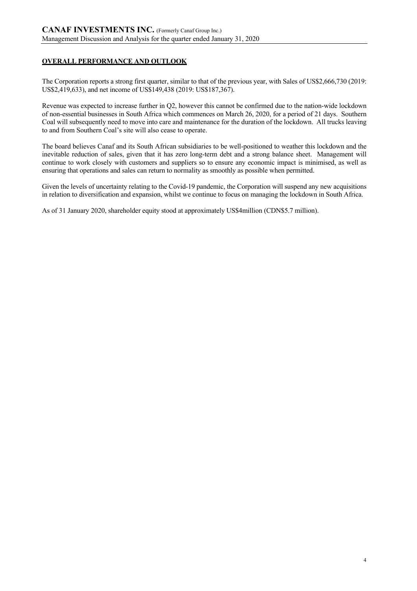# **OVERALL PERFORMANCE AND OUTLOOK**

The Corporation reports a strong first quarter, similar to that of the previous year, with Sales of US\$2,666,730 (2019: US\$2,419,633), and net income of US\$149,438 (2019: US\$187,367).

Revenue was expected to increase further in Q2, however this cannot be confirmed due to the nation-wide lockdown of non-essential businesses in South Africa which commences on March 26, 2020, for a period of 21 days. Southern Coal will subsequently need to move into care and maintenance for the duration of the lockdown. All trucks leaving to and from Southern Coal's site will also cease to operate.

The board believes Canaf and its South African subsidiaries to be well-positioned to weather this lockdown and the inevitable reduction of sales, given that it has zero long-term debt and a strong balance sheet. Management will continue to work closely with customers and suppliers so to ensure any economic impact is minimised, as well as ensuring that operations and sales can return to normality as smoothly as possible when permitted.

Given the levels of uncertainty relating to the Covid-19 pandemic, the Corporation will suspend any new acquisitions in relation to diversification and expansion, whilst we continue to focus on managing the lockdown in South Africa.

As of 31 January 2020, shareholder equity stood at approximately US\$4million (CDN\$5.7 million).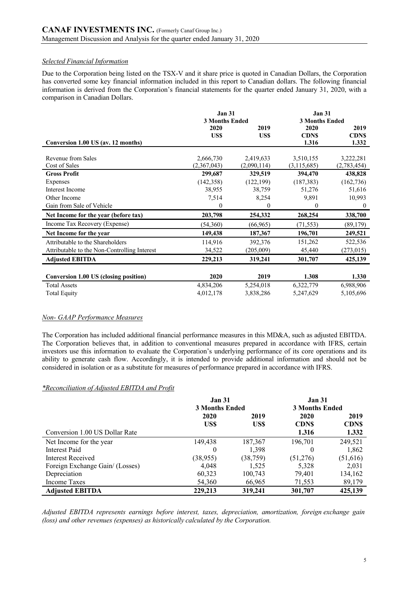### *Selected Financial Information*

Due to the Corporation being listed on the TSX-V and it share price is quoted in Canadian Dollars, the Corporation has converted some key financial information included in this report to Canadian dollars. The following financial information is derived from the Corporation's financial statements for the quarter ended January 31, 2020, with a comparison in Canadian Dollars.

|                                              | <b>Jan 31</b>         |             | <b>Jan 31</b>         |                  |
|----------------------------------------------|-----------------------|-------------|-----------------------|------------------|
|                                              | <b>3 Months Ended</b> |             | <b>3 Months Ended</b> |                  |
|                                              | 2020                  | 2019        | 2020                  | 2019             |
|                                              | US\$                  | US\$        | <b>CDNS</b>           | <b>CDNS</b>      |
| Conversion 1.00 US (av. 12 months)           |                       |             | 1.316                 | 1.332            |
|                                              |                       |             |                       |                  |
| Revenue from Sales                           | 2,666,730             | 2,419,633   | 3,510,155             | 3,222,281        |
| Cost of Sales                                | (2,367,043)           | (2,090,114) | (3,115,685)           | (2,783,454)      |
| <b>Gross Profit</b>                          | 299,687               | 329,519     | 394,470               | 438,828          |
| Expenses                                     | (142, 358)            | (122, 199)  | (187, 383)            | (162, 736)       |
| Interest Income                              | 38,955                | 38,759      | 51,276                | 51,616           |
| Other Income                                 | 7,514                 | 8,254       | 9,891                 | 10,993           |
| Gain from Sale of Vehicle                    | $\boldsymbol{0}$      | 0           | $\boldsymbol{0}$      | $\boldsymbol{0}$ |
| Net Income for the year (before tax)         | 203,798               | 254,332     | 268,254               | 338,700          |
| Income Tax Recovery (Expense)                | (54,360)              | (66,965)    | (71, 553)             | (89, 179)        |
| Net Income for the year                      | 149,438               | 187,367     | 196,701               | 249,521          |
| Attributable to the Shareholders             | 114,916               | 392,376     | 151,262               | 522,536          |
| Attributable to the Non-Controlling Interest | 34,522                | (205,009)   | 45,440                | (273, 015)       |
| <b>Adjusted EBITDA</b>                       | 229,213               | 319,241     | 301,707               | 425,139          |
|                                              |                       |             |                       |                  |
| Conversion 1.00 US (closing position)        | 2020                  | 2019        | 1.308                 | 1.330            |
| <b>Total Assets</b>                          | 4,834,206             | 5,254,018   | 6,322,779             | 6,988,906        |
| <b>Total Equity</b>                          | 4,012,178             | 3,838,286   | 5,247,629             | 5,105,696        |
|                                              |                       |             |                       |                  |

### *Non- GAAP Performance Measures*

The Corporation has included additional financial performance measures in this MD&A, such as adjusted EBITDA. The Corporation believes that, in addition to conventional measures prepared in accordance with IFRS, certain investors use this information to evaluate the Corporation's underlying performance of its core operations and its ability to generate cash flow. Accordingly, it is intended to provide additional information and should not be considered in isolation or as a substitute for measures of performance prepared in accordance with IFRS.

### *\*Reconciliation of Adjusted EBITDA and Profit*

|                                 | <b>Jan 31</b>         |           | <b>Jan 31</b>         |             |
|---------------------------------|-----------------------|-----------|-----------------------|-------------|
|                                 | <b>3 Months Ended</b> |           | <b>3 Months Ended</b> |             |
|                                 | 2020                  | 2019      | 2020                  | 2019        |
|                                 | US\$                  | US\$      | <b>CDNS</b>           | <b>CDNS</b> |
| Conversion 1.00 US Dollar Rate  |                       |           | 1.316                 | 1.332       |
| Net Income for the year         | 149,438               | 187,367   | 196,701               | 249,521     |
| Interest Paid                   | $\theta$              | 1,398     | 0                     | 1,862       |
| Interest Received               | (38, 955)             | (38, 759) | (51,276)              | (51,616)    |
| Foreign Exchange Gain/ (Losses) | 4,048                 | 1,525     | 5,328                 | 2,031       |
| Depreciation                    | 60,323                | 100,743   | 79,401                | 134,162     |
| Income Taxes                    | 54,360                | 66,965    | 71,553                | 89,179      |
| <b>Adjusted EBITDA</b>          | 229,213               | 319,241   | 301,707               | 425,139     |

*Adjusted EBITDA represents earnings before interest, taxes, depreciation, amortization, foreign exchange gain (loss) and other revenues (expenses) as historically calculated by the Corporation.*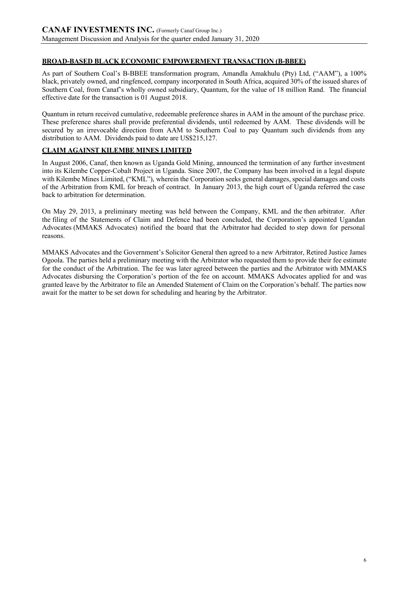# **BROAD-BASED BLACK ECONOMIC EMPOWERMENT TRANSACTION (B-BBEE)**

As part of Southern Coal's B-BBEE transformation program, Amandla Amakhulu (Pty) Ltd, ("AAM"), a 100% black, privately owned, and ringfenced, company incorporated in South Africa, acquired 30% of the issued shares of Southern Coal, from Canaf's wholly owned subsidiary, Quantum, for the value of 18 million Rand. The financial effective date for the transaction is 01 August 2018.

Quantum in return received cumulative, redeemable preference shares in AAM in the amount of the purchase price. These preference shares shall provide preferential dividends, until redeemed by AAM. These dividends will be secured by an irrevocable direction from AAM to Southern Coal to pay Quantum such dividends from any distribution to AAM. Dividends paid to date are US\$215,127.

## **CLAIM AGAINST KILEMBE MINES LIMITED**

In August 2006, Canaf, then known as Uganda Gold Mining, announced the termination of any further investment into its Kilembe Copper-Cobalt Project in Uganda. Since 2007, the Company has been involved in a legal dispute with Kilembe Mines Limited, ("KML"), wherein the Corporation seeks general damages, special damages and costs of the Arbitration from KML for breach of contract. In January 2013, the high court of Uganda referred the case back to arbitration for determination.

On May 29, 2013, a preliminary meeting was held between the Company, KML and the then arbitrator. After the filing of the Statements of Claim and Defence had been concluded, the Corporation's appointed Ugandan Advocates (MMAKS Advocates) notified the board that the Arbitrator had decided to step down for personal reasons.

MMAKS Advocates and the Government's Solicitor General then agreed to a new Arbitrator, Retired Justice James Ogoola. The parties held a preliminary meeting with the Arbitrator who requested them to provide their fee estimate for the conduct of the Arbitration. The fee was later agreed between the parties and the Arbitrator with MMAKS Advocates disbursing the Corporation's portion of the fee on account. MMAKS Advocates applied for and was granted leave by the Arbitrator to file an Amended Statement of Claim on the Corporation's behalf. The parties now await for the matter to be set down for scheduling and hearing by the Arbitrator.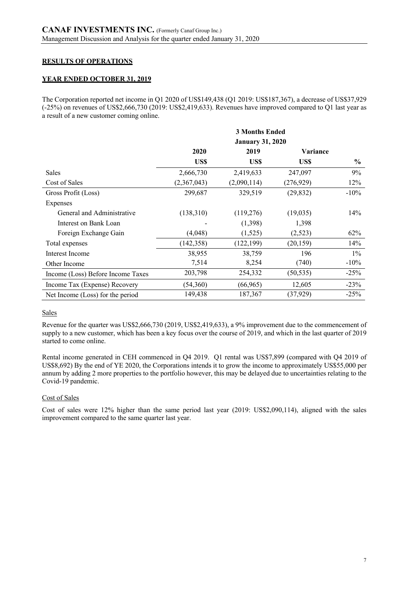# **RESULTS OF OPERATIONS**

## **YEAR ENDED OCTOBER 31, 2019**

The Corporation reported net income in Q1 2020 of US\$149,438 (Q1 2019: US\$187,367), a decrease of US\$37,929 (-25%) on revenues of US\$2,666,730 (2019: US\$2,419,633). Revenues have improved compared to Q1 last year as a result of a new customer coming online.

|                                   |                         | <b>3 Months Ended</b> |            |               |
|-----------------------------------|-------------------------|-----------------------|------------|---------------|
|                                   | <b>January 31, 2020</b> |                       |            |               |
|                                   | 2020                    | 2019                  | Variance   |               |
|                                   | US\$                    | US\$                  | US\$       | $\frac{6}{9}$ |
| <b>Sales</b>                      | 2,666,730               | 2,419,633             | 247,097    | 9%            |
| Cost of Sales                     | (2,367,043)             | (2,090,114)           | (276, 929) | 12%           |
| Gross Profit (Loss)               | 299,687                 | 329,519               | (29, 832)  | $-10%$        |
| Expenses                          |                         |                       |            |               |
| General and Administrative        | (138,310)               | (119,276)             | (19,035)   | 14%           |
| Interest on Bank Loan             |                         | (1,398)               | 1,398      |               |
| Foreign Exchange Gain             | (4,048)                 | (1,525)               | (2,523)    | 62%           |
| Total expenses                    | (142, 358)              | (122, 199)            | (20, 159)  | 14%           |
| Interest Income                   | 38,955                  | 38,759                | 196        | $1\%$         |
| Other Income                      | 7,514                   | 8,254                 | (740)      | $-10\%$       |
| Income (Loss) Before Income Taxes | 203,798                 | 254,332               | (50, 535)  | $-25%$        |
| Income Tax (Expense) Recovery     | (54,360)                | (66, 965)             | 12,605     | $-23%$        |
| Net Income (Loss) for the period  | 149,438                 | 187,367               | (37, 929)  | $-25%$        |

## Sales

Revenue for the quarter was US\$2,666,730 (2019, US\$2,419,633), a 9% improvement due to the commencement of supply to a new customer, which has been a key focus over the course of 2019, and which in the last quarter of 2019 started to come online.

Rental income generated in CEH commenced in Q4 2019. Q1 rental was US\$7,899 (compared with Q4 2019 of US\$8,692) By the end of YE 2020, the Corporations intends it to grow the income to approximately US\$55,000 per annum by adding 2 more properties to the portfolio however, this may be delayed due to uncertainties relating to the Covid-19 pandemic.

## Cost of Sales

Cost of sales were 12% higher than the same period last year (2019: US\$2,090,114), aligned with the sales improvement compared to the same quarter last year.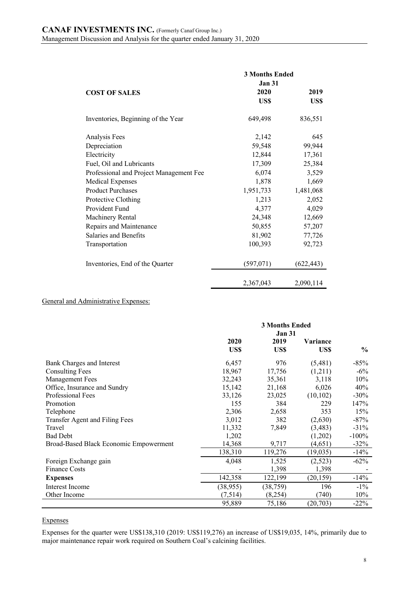|                                         | <b>3 Months Ended</b> |            |
|-----------------------------------------|-----------------------|------------|
|                                         | <b>Jan 31</b>         |            |
| <b>COST OF SALES</b>                    | 2020                  | 2019       |
|                                         | US\$                  | US\$       |
| Inventories, Beginning of the Year      | 649,498               | 836,551    |
| Analysis Fees                           | 2,142                 | 645        |
| Depreciation                            | 59,548                | 99,944     |
| Electricity                             | 12,844                | 17,361     |
| Fuel, Oil and Lubricants                | 17,309                | 25,384     |
| Professional and Project Management Fee | 6,074                 | 3,529      |
| <b>Medical Expenses</b>                 | 1,878                 | 1,669      |
| <b>Product Purchases</b>                | 1,951,733             | 1,481,068  |
| Protective Clothing                     | 1,213                 | 2,052      |
| Provident Fund                          | 4,377                 | 4,029      |
| Machinery Rental                        | 24,348                | 12,669     |
| Repairs and Maintenance                 | 50,855                | 57,207     |
| Salaries and Benefits                   | 81,902                | 77,726     |
| Transportation                          | 100,393               | 92,723     |
| Inventories, End of the Quarter         | (597,071)             | (622, 443) |
|                                         | 2,367,043             | 2,090,114  |

### General and Administrative Expenses:

|                                        |              | <b>3 Months Ended</b><br><b>Jan 31</b> |                         |               |
|----------------------------------------|--------------|----------------------------------------|-------------------------|---------------|
|                                        | 2020<br>US\$ | 2019<br>US\$                           | <b>Variance</b><br>US\$ | $\frac{6}{6}$ |
|                                        |              |                                        |                         |               |
| Bank Charges and Interest              | 6,457        | 976                                    | (5,481)                 | $-85%$        |
| <b>Consulting Fees</b>                 | 18,967       | 17,756                                 | (1,211)                 | $-6\%$        |
| <b>Management Fees</b>                 | 32,243       | 35,361                                 | 3,118                   | 10%           |
| Office, Insurance and Sundry           | 15,142       | 21,168                                 | 6,026                   | 40%           |
| Professional Fees                      | 33,126       | 23,025                                 | (10, 102)               | $-30\%$       |
| Promotion                              | 155          | 384                                    | 229                     | 147%          |
| Telephone                              | 2,306        | 2,658                                  | 353                     | 15%           |
| Transfer Agent and Filing Fees         | 3,012        | 382                                    | (2,630)                 | $-87%$        |
| Travel                                 | 11,332       | 7,849                                  | (3, 483)                | $-31%$        |
| <b>Bad Debt</b>                        | 1,202        |                                        | (1,202)                 | $-100%$       |
| Broad-Based Black Economic Empowerment | 14,368       | 9,717                                  | (4,651)                 | $-32%$        |
|                                        | 138,310      | 119,276                                | (19, 035)               | $-14%$        |
| Foreign Exchange gain                  | 4,048        | 1,525                                  | (2,523)                 | $-62%$        |
| <b>Finance Costs</b>                   |              | 1,398                                  | 1,398                   |               |
| <b>Expenses</b>                        | 142,358      | 122,199                                | (20, 159)               | $-14\%$       |
| Interest Income                        | (38, 955)    | (38, 759)                              | 196                     | $-1\%$        |
| Other Income                           | (7,514)      | (8,254)                                | (740)                   | 10%           |
|                                        | 95,889       | 75,186                                 | (20,703)                | $-22%$        |

### Expenses

Expenses for the quarter were US\$138,310 (2019: US\$119,276) an increase of US\$19,035, 14%, primarily due to major maintenance repair work required on Southern Coal's calcining facilities.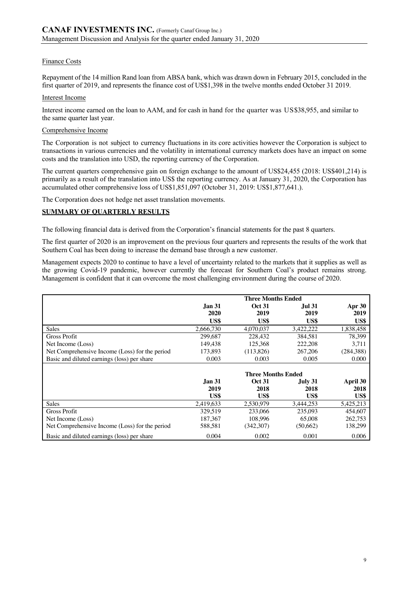### Finance Costs

Repayment of the 14 million Rand loan from ABSA bank, which was drawn down in February 2015, concluded in the first quarter of 2019, and represents the finance cost of US\$1,398 in the twelve months ended October 31 2019.

### Interest Income

Interest income earned on the loan to AAM, and for cash in hand for the quarter was US\$38,955, and similar to the same quarter last year.

### Comprehensive Income

The Corporation is not subject to currency fluctuations in its core activities however the Corporation is subject to transactions in various currencies and the volatility in international currency markets does have an impact on some costs and the translation into USD, the reporting currency of the Corporation.

The current quarters comprehensive gain on foreign exchange to the amount of US\$24,455 (2018: US\$401,214) is primarily as a result of the translation into US\$ the reporting currency. As at January 31, 2020, the Corporation has accumulated other comprehensive loss of US\$1,851,097 (October 31, 2019: US\$1,877,641.).

The Corporation does not hedge net asset translation movements.

## **SUMMARY OF QUARTERLY RESULTS**

The following financial data is derived from the Corporation's financial statements for the past 8 quarters.

The first quarter of 2020 is an improvement on the previous four quarters and represents the results of the work that Southern Coal has been doing to increase the demand base through a new customer.

Management expects 2020 to continue to have a level of uncertainty related to the markets that it supplies as well as the growing Covid-19 pandemic, however currently the forecast for Southern Coal's product remains strong. Management is confident that it can overcome the most challenging environment during the course of 2020.

|                                                |               | <b>Three Months Ended</b> |               |               |
|------------------------------------------------|---------------|---------------------------|---------------|---------------|
|                                                | <b>Jan 31</b> | <b>Oct 31</b>             | <b>Jul 31</b> | <b>Apr 30</b> |
|                                                | 2020          | 2019                      | 2019          | 2019          |
|                                                | US\$          | US\$                      | US\$          | US\$          |
| Sales                                          | 2,666,730     | 4,070,037                 | 3,422,222     | 1,838,458     |
| <b>Gross Profit</b>                            | 299,687       | 228,432                   | 384,581       | 78,399        |
| Net Income (Loss)                              | 149.438       | 125.368                   | 222,208       | 3,711         |
| Net Comprehensive Income (Loss) for the period | 173,893       | (113,826)                 | 267,206       | (284, 388)    |
| Basic and diluted earnings (loss) per share    | 0.003         | 0.003                     | 0.005         | 0.000         |
|                                                |               |                           |               |               |
|                                                |               | <b>Three Months Ended</b> |               |               |
|                                                | Jan 31.       | <b>Oct 31</b>             | July 31       | April 30      |
|                                                | 2019          | 2018                      | 2018          | 2018          |
|                                                | US\$          | US\$                      | US\$          | US\$          |
| Sales                                          | 2,419,633     | 2.530.979                 | 3,444,253     | 5,425,213     |
| Gross Profit                                   | 329,519       | 233,066                   | 235,093       | 454,607       |
| Net Income (Loss)                              | 187,367       | 108.996                   | 65,008        | 262,753       |
| Net Comprehensive Income (Loss) for the period | 588,581       | (342,307)                 | (50,662)      | 138,299       |
| Basic and diluted earnings (loss) per share    | 0.004         | 0.002                     | 0.001         | 0.006         |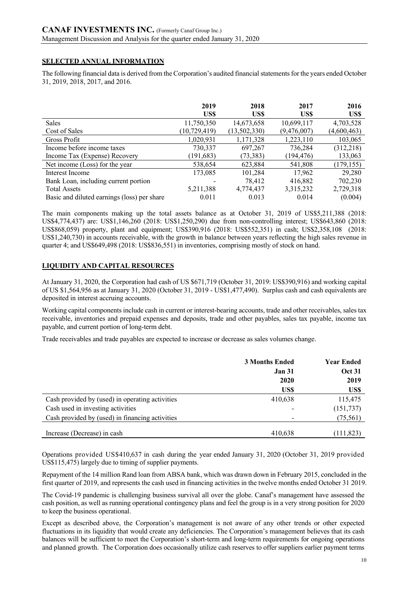# **SELECTED ANNUAL INFORMATION**

The following financial data is derived from the Corporation's audited financial statements for the years ended October 31, 2019, 2018, 2017, and 2016.

|                                             | 2019           | 2018         | 2017        | 2016        |
|---------------------------------------------|----------------|--------------|-------------|-------------|
|                                             | US\$           | US\$         | US\$        | US\$        |
| <b>Sales</b>                                | 11,750,350     | 14,673,658   | 10,699,117  | 4,703,528   |
| Cost of Sales                               | (10, 729, 419) | (13,502,330) | (9,476,007) | (4,600,463) |
| Gross Profit                                | 1,020,931      | 1,171,328    | 1,223,110   | 103,065     |
| Income before income taxes                  | 730,337        | 697,267      | 736,284     | (312, 218)  |
| Income Tax (Expense) Recovery               | (191, 683)     | (73, 383)    | (194, 476)  | 133,063     |
| Net income (Loss) for the year              | 538,654        | 623,884      | 541,808     | (179, 155)  |
| Interest Income                             | 173,085        | 101,284      | 17,962      | 29,280      |
| Bank Loan, including current portion        |                | 78,412       | 416,882     | 702,230     |
| <b>Total Assets</b>                         | 5,211,388      | 4,774,437    | 3,315,232   | 2,729,318   |
| Basic and diluted earnings (loss) per share | 0.011          | 0.013        | 0.014       | (0.004)     |

The main components making up the total assets balance as at October 31, 2019 of US\$5,211,388 (2018: US\$4,774,437) are: US\$1,146,260 (2018: US\$1,250,290) due from non-controlling interest; US\$643,860 (2018: US\$868,059) property, plant and equipment; US\$390,916 (2018: US\$552,351) in cash; US\$2,358,108 (2018: US\$1,240,730) in accounts receivable, with the growth in balance between years reflecting the high sales revenue in quarter 4; and US\$649,498 (2018: US\$836,551) in inventories, comprising mostly of stock on hand.

## **LIQUIDITY AND CAPITAL RESOURCES**

At January 31, 2020, the Corporation had cash of US \$671,719 (October 31, 2019: US\$390,916) and working capital of US \$1,564,956 as at January 31, 2020 (October 31, 2019 - US\$1,477,490). Surplus cash and cash equivalents are deposited in interest accruing accounts.

Working capital components include cash in current or interest-bearing accounts, trade and other receivables, sales tax receivable, inventories and prepaid expenses and deposits, trade and other payables, sales tax payable, income tax payable, and current portion of long-term debt.

Trade receivables and trade payables are expected to increase or decrease as sales volumes change.

|                                                 | <b>3 Months Ended</b><br><b>Jan 31</b> | <b>Year Ended</b><br><b>Oct 31</b> |
|-------------------------------------------------|----------------------------------------|------------------------------------|
|                                                 | 2020                                   | 2019                               |
|                                                 | US\$                                   | US\$                               |
| Cash provided by (used) in operating activities | 410,638                                | 115,475                            |
| Cash used in investing activities               |                                        | (151, 737)                         |
| Cash provided by (used) in financing activities |                                        | (75, 561)                          |
| Increase (Decrease) in cash                     | 410,638                                | (111, 823)                         |

Operations provided US\$410,637 in cash during the year ended January 31, 2020 (October 31, 2019 provided US\$115,475) largely due to timing of supplier payments.

Repayment of the 14 million Rand loan from ABSA bank, which was drawn down in February 2015, concluded in the first quarter of 2019, and represents the cash used in financing activities in the twelve months ended October 31 2019.

The Covid-19 pandemic is challenging business survival all over the globe. Canaf's management have assessed the cash position, as well as running operational contingency plans and feel the group is in a very strong position for 2020 to keep the business operational.

Except as described above, the Corporation's management is not aware of any other trends or other expected fluctuations in its liquidity that would create any deficiencies. The Corporation's management believes that its cash balances will be sufficient to meet the Corporation's short-term and long-term requirements for ongoing operations and planned growth. The Corporation does occasionally utilize cash reserves to offer suppliers earlier payment terms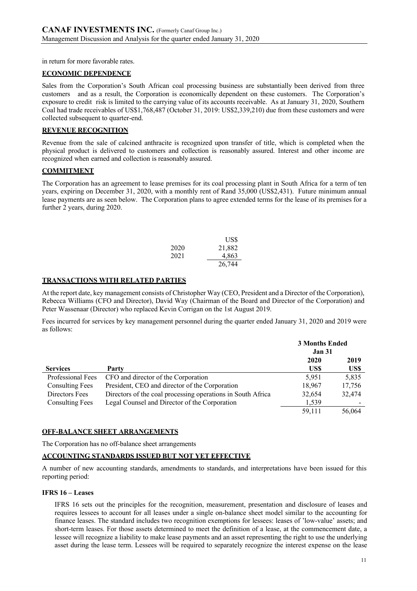in return for more favorable rates.

### **ECONOMIC DEPENDENCE**

Sales from the Corporation's South African coal processing business are substantially been derived from three customers and as a result, the Corporation is economically dependent on these customers. The Corporation's exposure to credit risk is limited to the carrying value of its accounts receivable. As at January 31, 2020, Southern Coal had trade receivables of US\$1,768,487 (October 31, 2019: US\$2,339,210) due from these customers and were collected subsequent to quarter-end.

### **REVENUE RECOGNITION**

Revenue from the sale of calcined anthracite is recognized upon transfer of title, which is completed when the physical product is delivered to customers and collection is reasonably assured. Interest and other income are recognized when earned and collection is reasonably assured.

### **COMMITMENT**

The Corporation has an agreement to lease premises for its coal processing plant in South Africa for a term of ten years, expiring on December 31, 2020, with a monthly rent of Rand 35,000 (US\$2,431). Future minimum annual lease payments are as seen below. The Corporation plans to agree extended terms for the lease of its premises for a further 2 years, during 2020.

|      | US\$   |
|------|--------|
| 2020 | 21,882 |
| 2021 | 4,863  |
|      | 26,744 |

### **TRANSACTIONS WITH RELATED PARTIES**

At the report date, key management consists of Christopher Way (CEO, President and a Director of the Corporation), Rebecca Williams (CFO and Director), David Way (Chairman of the Board and Director of the Corporation) and Peter Wassenaar (Director) who replaced Kevin Corrigan on the 1st August 2019.

Fees incurred for services by key management personnel during the quarter ended January 31, 2020 and 2019 were as follows:

|                        |                                                             | <b>3 Months Ended</b> |        |
|------------------------|-------------------------------------------------------------|-----------------------|--------|
|                        |                                                             | <b>Jan 31</b>         |        |
|                        |                                                             | 2020                  | 2019   |
| <b>Services</b>        | Party                                                       | US\$                  | US\$   |
| Professional Fees      | CFO and director of the Corporation                         | 5.951                 | 5,835  |
| <b>Consulting Fees</b> | President, CEO and director of the Corporation              | 18,967                | 17,756 |
| Directors Fees         | Directors of the coal processing operations in South Africa | 32,654                | 32,474 |
| <b>Consulting Fees</b> | Legal Counsel and Director of the Corporation               | 1,539                 |        |
|                        |                                                             | 59.111                | 56,064 |

## **OFF-BALANCE SHEET ARRANGEMENTS**

The Corporation has no off-balance sheet arrangements

## **ACCOUNTING STANDARDS ISSUED BUT NOT YET EFFECTIVE**

A number of new accounting standards, amendments to standards, and interpretations have been issued for this reporting period:

### **IFRS 16 – Leases**

IFRS 16 sets out the principles for the recognition, measurement, presentation and disclosure of leases and requires lessees to account for all leases under a single on-balance sheet model similar to the accounting for finance leases. The standard includes two recognition exemptions for lessees: leases of 'low-value' assets; and short-term leases. For those assets determined to meet the definition of a lease, at the commencement date, a lessee will recognize a liability to make lease payments and an asset representing the right to use the underlying asset during the lease term. Lessees will be required to separately recognize the interest expense on the lease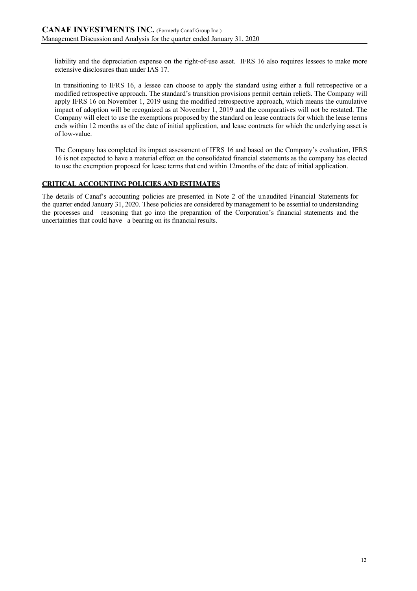liability and the depreciation expense on the right-of-use asset. IFRS 16 also requires lessees to make more extensive disclosures than under IAS 17.

In transitioning to IFRS 16, a lessee can choose to apply the standard using either a full retrospective or a modified retrospective approach. The standard's transition provisions permit certain reliefs. The Company will apply IFRS 16 on November 1, 2019 using the modified retrospective approach, which means the cumulative impact of adoption will be recognized as at November 1, 2019 and the comparatives will not be restated. The Company will elect to use the exemptions proposed by the standard on lease contracts for which the lease terms ends within 12 months as of the date of initial application, and lease contracts for which the underlying asset is of low-value.

The Company has completed its impact assessment of IFRS 16 and based on the Company's evaluation, IFRS 16 is not expected to have a material effect on the consolidated financial statements as the company has elected to use the exemption proposed for lease terms that end within 12months of the date of initial application.

# **CRITICAL ACCOUNTING POLICIES AND ESTIMATES**

The details of Canaf's accounting policies are presented in Note 2 of the unaudited Financial Statements for the quarter ended January 31, 2020. These policies are considered by management to be essential to understanding the processes and reasoning that go into the preparation of the Corporation's financial statements and the uncertainties that could have a bearing on its financial results.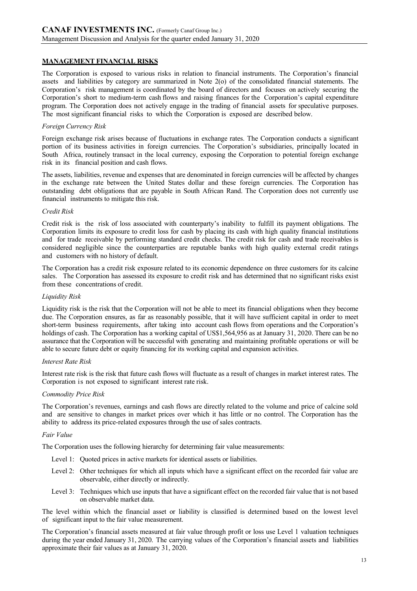# **MANAGEMENT FINANCIAL RISKS**

The Corporation is exposed to various risks in relation to financial instruments. The Corporation's financial assets and liabilities by category are summarized in Note 2(o) of the consolidated financial statements. The Corporation's risk management is coordinated by the board of directors and focuses on actively securing the Corporation's short to medium-term cash flows and raising finances for the Corporation's capital expenditure program. The Corporation does not actively engage in the trading of financial assets for speculative purposes. The most significant financial risks to which the Corporation is exposed are described below.

### *Foreign Currency Risk*

Foreign exchange risk arises because of fluctuations in exchange rates. The Corporation conducts a significant portion of its business activities in foreign currencies. The Corporation's subsidiaries, principally located in South Africa, routinely transact in the local currency, exposing the Corporation to potential foreign exchange risk in its financial position and cash flows.

The assets, liabilities, revenue and expenses that are denominated in foreign currencies will be affected by changes in the exchange rate between the United States dollar and these foreign currencies. The Corporation has outstanding debt obligations that are payable in South African Rand. The Corporation does not currently use financial instruments to mitigate this risk.

## *Credit Risk*

Credit risk is the risk of loss associated with counterparty's inability to fulfill its payment obligations. The Corporation limits its exposure to credit loss for cash by placing its cash with high quality financial institutions and for trade receivable by performing standard credit checks. The credit risk for cash and trade receivables is considered negligible since the counterparties are reputable banks with high quality external credit ratings and customers with no history of default.

The Corporation has a credit risk exposure related to its economic dependence on three customers for its calcine sales. The Corporation has assessed its exposure to credit risk and has determined that no significant risks exist from these concentrations of credit.

### *Liquidity Risk*

Liquidity risk is the risk that the Corporation will not be able to meet its financial obligations when they become due. The Corporation ensures, as far as reasonably possible, that it will have sufficient capital in order to meet short-term business requirements, after taking into account cash flows from operations and the Corporation's holdings of cash. The Corporation has a working capital of US\$1,564,956 as at January 31, 2020. There can be no assurance that the Corporation will be successful with generating and maintaining profitable operations or will be able to secure future debt or equity financing for its working capital and expansion activities.

### *Interest Rate Risk*

Interest rate risk is the risk that future cash flows will fluctuate as a result of changes in market interest rates. The Corporation is not exposed to significant interest rate risk.

### *Commodity Price Risk*

The Corporation's revenues, earnings and cash flows are directly related to the volume and price of calcine sold and are sensitive to changes in market prices over which it has little or no control. The Corporation has the ability to address its price-related exposures through the use of sales contracts.

## *Fair Value*

The Corporation uses the following hierarchy for determining fair value measurements:

- Level 1: Quoted prices in active markets for identical assets or liabilities.
- Level 2: Other techniques for which all inputs which have a significant effect on the recorded fair value are observable, either directly or indirectly.
- Level 3: Techniques which use inputs that have a significant effect on the recorded fair value that is not based on observable market data.

The level within which the financial asset or liability is classified is determined based on the lowest level of significant input to the fair value measurement.

The Corporation's financial assets measured at fair value through profit or loss use Level 1 valuation techniques during the year ended January 31, 2020. The carrying values of the Corporation's financial assets and liabilities approximate their fair values as at January 31, 2020.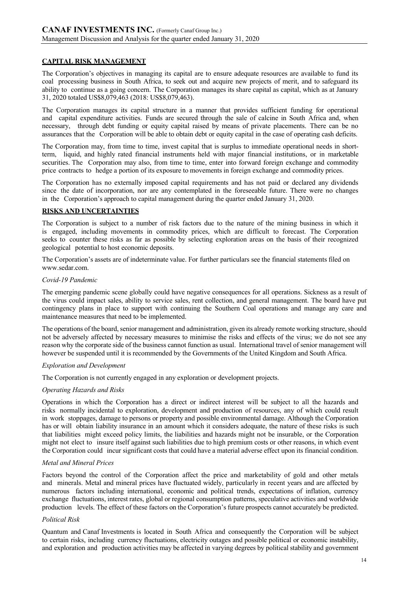## **CAPITAL RISK MANAGEMENT**

The Corporation's objectives in managing its capital are to ensure adequate resources are available to fund its coal processing business in South Africa, to seek out and acquire new projects of merit, and to safeguard its ability to continue as a going concern. The Corporation manages its share capital as capital, which as at January 31, 2020 totaled US\$8,079,463 (2018: US\$8,079,463).

The Corporation manages its capital structure in a manner that provides sufficient funding for operational and capital expenditure activities. Funds are secured through the sale of calcine in South Africa and, when necessary, through debt funding or equity capital raised by means of private placements. There can be no assurances that the Corporation will be able to obtain debt or equity capital in the case of operating cash deficits.

The Corporation may, from time to time, invest capital that is surplus to immediate operational needs in shortterm, liquid, and highly rated financial instruments held with major financial institutions, or in marketable securities. The Corporation may also, from time to time, enter into forward foreign exchange and commodity price contracts to hedge a portion of its exposure to movements in foreign exchange and commodity prices.

The Corporation has no externally imposed capital requirements and has not paid or declared any dividends since the date of incorporation, nor are any contemplated in the foreseeable future. There were no changes in the Corporation's approach to capital management during the quarter ended January 31, 2020.

### **RISKS AND UNCERTAINTIES**

The Corporation is subject to a number of risk factors due to the nature of the mining business in which it is engaged, including movements in commodity prices, which are difficult to forecast. The Corporation seeks to counter these risks as far as possible by selecting exploration areas on the basis of their recognized geological potential to host economic deposits.

The Corporation's assets are of indeterminate value. For further particulars see the financial statements filed on www.sedar.com.

### *Covid-19 Pandemic*

The emerging pandemic scene globally could have negative consequences for all operations. Sickness as a result of the virus could impact sales, ability to service sales, rent collection, and general management. The board have put contingency plans in place to support with continuing the Southern Coal operations and manage any care and maintenance measures that need to be implemented.

The operations of the board, senior management and administration, given its already remote working structure, should not be adversely affected by necessary measures to minimise the risks and effects of the virus; we do not see any reason why the corporate side of the business cannot function as usual. International travel of senior management will however be suspended until it is recommended by the Governments of the United Kingdom and South Africa.

### *Exploration and Development*

The Corporation is not currently engaged in any exploration or development projects.

### *Operating Hazards and Risks*

Operations in which the Corporation has a direct or indirect interest will be subject to all the hazards and risks normally incidental to exploration, development and production of resources, any of which could result in work stoppages, damage to persons or property and possible environmental damage. Although the Corporation has or will obtain liability insurance in an amount which it considers adequate, the nature of these risks is such that liabilities might exceed policy limits, the liabilities and hazards might not be insurable, or the Corporation might not elect to insure itself against such liabilities due to high premium costs or other reasons, in which event the Corporation could incur significant costs that could have a material adverse effect upon its financial condition.

### *Metal and Mineral Prices*

Factors beyond the control of the Corporation affect the price and marketability of gold and other metals and minerals. Metal and mineral prices have fluctuated widely, particularly in recent years and are affected by numerous factors including international, economic and political trends, expectations of inflation, currency exchange fluctuations, interest rates, global or regional consumption patterns, speculative activities and worldwide production levels. The effect of these factors on the Corporation'sfuture prospects cannot accurately be predicted.

### *Political Risk*

Quantum and Canaf Investments is located in South Africa and consequently the Corporation will be subject to certain risks, including currency fluctuations, electricity outages and possible political or economic instability, and exploration and production activities may be affected in varying degrees by political stability and government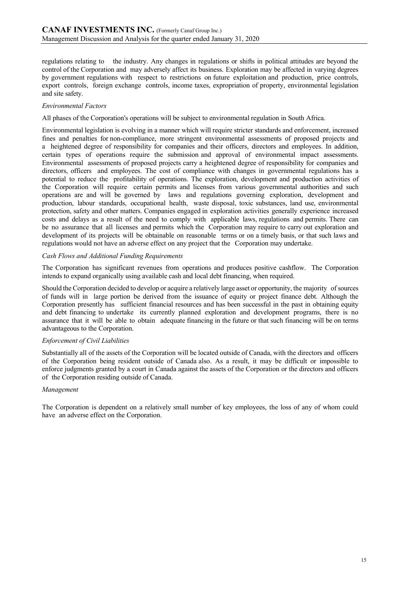regulations relating to the industry. Any changes in regulations or shifts in political attitudes are beyond the control of the Corporation and may adversely affect its business. Exploration may be affected in varying degrees by government regulations with respect to restrictions on future exploitation and production, price controls, export controls, foreign exchange controls, income taxes, expropriation of property, environmental legislation and site safety.

### *Environmental Factors*

All phases of the Corporation's operations will be subject to environmental regulation in South Africa.

Environmental legislation is evolving in a manner which will require stricter standards and enforcement, increased fines and penalties for non-compliance, more stringent environmental assessments of proposed projects and a heightened degree of responsibility for companies and their officers, directors and employees. In addition, certain types of operations require the submission and approval of environmental impact assessments. Environmental assessments of proposed projects carry a heightened degree of responsibility for companies and directors, officers and employees. The cost of compliance with changes in governmental regulations has a potential to reduce the profitability of operations. The exploration, development and production activities of the Corporation will require certain permits and licenses from various governmental authorities and such operations are and will be governed by laws and regulations governing exploration, development and production, labour standards, occupational health, waste disposal, toxic substances, land use, environmental protection, safety and other matters. Companies engaged in exploration activities generally experience increased costs and delays as a result of the need to comply with applicable laws, regulations and permits. There can be no assurance that all licenses and permits which the Corporation may require to carry out exploration and development of its projects will be obtainable on reasonable terms or on a timely basis, or that such laws and regulations would not have an adverse effect on any project that the Corporation may undertake.

#### *Cash Flows and Additional Funding Requirements*

The Corporation has significant revenues from operations and produces positive cashflow. The Corporation intends to expand organically using available cash and local debt financing, when required.

Should the Corporation decided to develop or acquire a relatively large asset or opportunity, the majority ofsources of funds will in large portion be derived from the issuance of equity or project finance debt. Although the Corporation presently has sufficient financial resources and has been successful in the past in obtaining equity and debt financing to undertake its currently planned exploration and development programs, there is no assurance that it will be able to obtain adequate financing in the future or that such financing will be on terms advantageous to the Corporation.

### *Enforcement of Civil Liabilities*

Substantially all of the assets of the Corporation will be located outside of Canada, with the directors and officers of the Corporation being resident outside of Canada also. As a result, it may be difficult or impossible to enforce judgments granted by a court in Canada against the assets of the Corporation or the directors and officers of the Corporation residing outside of Canada.

#### *Management*

The Corporation is dependent on a relatively small number of key employees, the loss of any of whom could have an adverse effect on the Corporation.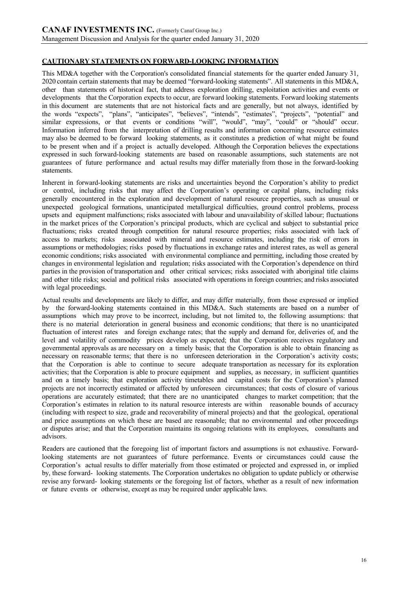# **CAUTIONARY STATEMENTS ON FORWARD-LOOKING INFORMATION**

This MD&A together with the Corporation's consolidated financial statements for the quarter ended January 31, 2020 contain certain statements that may be deemed "forward-looking statements". All statements in this MD&A, other than statements of historical fact, that address exploration drilling, exploitation activities and events or developments that the Corporation expects to occur, are forward looking statements. Forward looking statements in this document are statements that are not historical facts and are generally, but not always, identified by the words "expects", "plans", "anticipates", "believes", "intends", "estimates", "projects", "potential" and similar expressions, or that events or conditions "will", "would", "may", "could" or "should" occur. Information inferred from the interpretation of drilling results and information concerning resource estimates may also be deemed to be forward looking statements, as it constitutes a prediction of what might be found to be present when and if a project is actually developed. Although the Corporation believes the expectations expressed in such forward-looking statements are based on reasonable assumptions, such statements are not guarantees of future performance and actual results may differ materially from those in the forward-looking statements.

Inherent in forward-looking statements are risks and uncertainties beyond the Corporation's ability to predict or control, including risks that may affect the Corporation's operating or capital plans, including risks generally encountered in the exploration and development of natural resource properties, such as unusual or unexpected geological formations, unanticipated metallurgical difficulties, ground control problems, process upsets and equipment malfunctions; risks associated with labour and unavailability of skilled labour; fluctuations in the market prices of the Corporation's principal products, which are cyclical and subject to substantial price fluctuations; risks created through competition for natural resource properties; risks associated with lack of access to markets; risks associated with mineral and resource estimates, including the risk of errors in assumptions or methodologies; risks posed by fluctuations in exchange rates and interest rates, as well as general economic conditions; risks associated with environmental compliance and permitting, including those created by changes in environmental legislation and regulation; risks associated with the Corporation's dependence on third parties in the provision of transportation and other critical services; risks associated with aboriginal title claims and other title risks; social and political risks associated with operations in foreign countries; and risks associated with legal proceedings.

Actual results and developments are likely to differ, and may differ materially, from those expressed or implied by the forward-looking statements contained in this MD&A. Such statements are based on a number of assumptions which may prove to be incorrect, including, but not limited to, the following assumptions: that there is no material deterioration in general business and economic conditions; that there is no unanticipated fluctuation of interest rates and foreign exchange rates; that the supply and demand for, deliveries of, and the level and volatility of commodity prices develop as expected; that the Corporation receives regulatory and governmental approvals as are necessary on a timely basis; that the Corporation is able to obtain financing as necessary on reasonable terms; that there is no unforeseen deterioration in the Corporation's activity costs; that the Corporation is able to continue to secure adequate transportation as necessary for its exploration activities; that the Corporation is able to procure equipment and supplies, as necessary, in sufficient quantities and on a timely basis; that exploration activity timetables and capital costs for the Corporation's planned projects are not incorrectly estimated or affected by unforeseen circumstances; that costs of closure of various operations are accurately estimated; that there are no unanticipated changes to market competition; that the Corporation's estimates in relation to its natural resource interests are within reasonable bounds of accuracy (including with respect to size, grade and recoverability of mineral projects) and that the geological, operational and price assumptions on which these are based are reasonable; that no environmental and other proceedings or disputes arise; and that the Corporation maintains its ongoing relations with its employees, consultants and advisors.

Readers are cautioned that the foregoing list of important factors and assumptions is not exhaustive. Forwardlooking statements are not guarantees of future performance. Events or circumstances could cause the Corporation's actual results to differ materially from those estimated or projected and expressed in, or implied by, these forward- looking statements. The Corporation undertakes no obligation to update publicly or otherwise revise any forward- looking statements or the foregoing list of factors, whether as a result of new information or future events or otherwise, except as may be required under applicable laws.